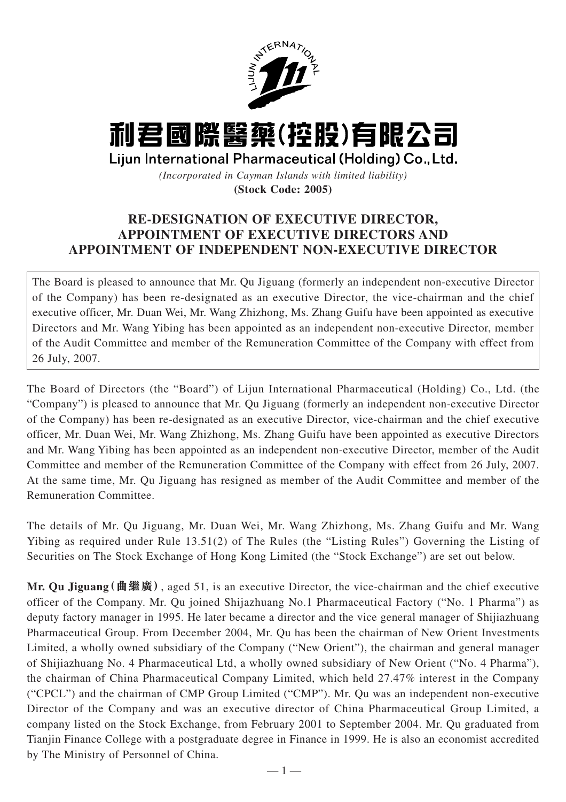

## 利君國際醫藥(控股)有限公司

Lijun International Pharmaceutical (Holding) Co., Ltd.

*(Incorporated in Cayman Islands with limited liability)* **(Stock Code: 2005)**

## **RE-DESIGNATION OF EXECUTIVE DIRECTOR, APPOINTMENT OF EXECUTIVE DIRECTORS AND APPOINTMENT OF INDEPENDENT NON-EXECUTIVE DIRECTOR**

The Board is pleased to announce that Mr. Qu Jiguang (formerly an independent non-executive Director of the Company) has been re-designated as an executive Director, the vice-chairman and the chief executive officer, Mr. Duan Wei, Mr. Wang Zhizhong, Ms. Zhang Guifu have been appointed as executive Directors and Mr. Wang Yibing has been appointed as an independent non-executive Director, member of the Audit Committee and member of the Remuneration Committee of the Company with effect from 26 July, 2007.

The Board of Directors (the "Board") of Lijun International Pharmaceutical (Holding) Co., Ltd. (the "Company") is pleased to announce that Mr. Qu Jiguang (formerly an independent non-executive Director of the Company) has been re-designated as an executive Director, vice-chairman and the chief executive officer, Mr. Duan Wei, Mr. Wang Zhizhong, Ms. Zhang Guifu have been appointed as executive Directors and Mr. Wang Yibing has been appointed as an independent non-executive Director, member of the Audit Committee and member of the Remuneration Committee of the Company with effect from 26 July, 2007. At the same time, Mr. Qu Jiguang has resigned as member of the Audit Committee and member of the Remuneration Committee.

The details of Mr. Qu Jiguang, Mr. Duan Wei, Mr. Wang Zhizhong, Ms. Zhang Guifu and Mr. Wang Yibing as required under Rule 13.51(2) of The Rules (the "Listing Rules") Governing the Listing of Securities on The Stock Exchange of Hong Kong Limited (the "Stock Exchange") are set out below.

**Mr. Qu Jiguang(曲繼廣)**, aged 51, is an executive Director, the vice-chairman and the chief executive officer of the Company. Mr. Qu joined Shijazhuang No.1 Pharmaceutical Factory ("No. 1 Pharma") as deputy factory manager in 1995. He later became a director and the vice general manager of Shijiazhuang Pharmaceutical Group. From December 2004, Mr. Qu has been the chairman of New Orient Investments Limited, a wholly owned subsidiary of the Company ("New Orient"), the chairman and general manager of Shijiazhuang No. 4 Pharmaceutical Ltd, a wholly owned subsidiary of New Orient ("No. 4 Pharma"), the chairman of China Pharmaceutical Company Limited, which held 27.47% interest in the Company ("CPCL") and the chairman of CMP Group Limited ("CMP"). Mr. Qu was an independent non-executive Director of the Company and was an executive director of China Pharmaceutical Group Limited, a company listed on the Stock Exchange, from February 2001 to September 2004. Mr. Qu graduated from Tianjin Finance College with a postgraduate degree in Finance in 1999. He is also an economist accredited by The Ministry of Personnel of China.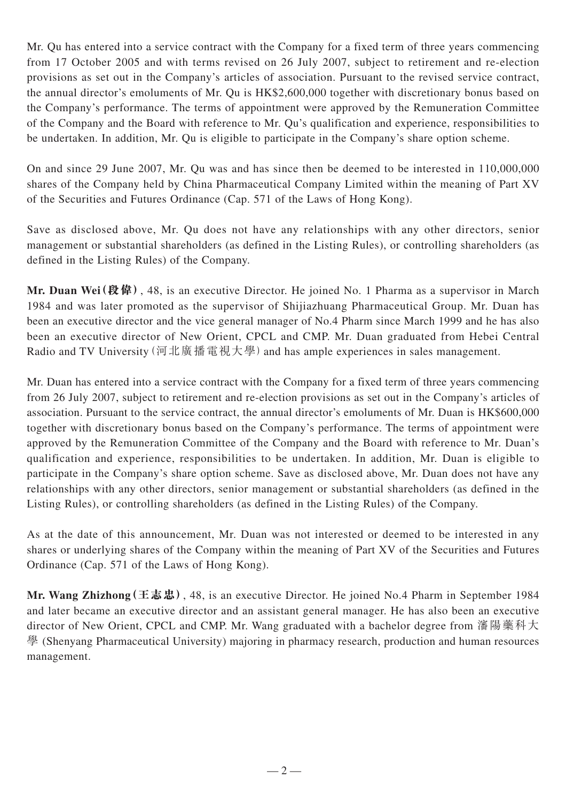Mr. Qu has entered into a service contract with the Company for a fixed term of three years commencing from 17 October 2005 and with terms revised on 26 July 2007, subject to retirement and re-election provisions as set out in the Company's articles of association. Pursuant to the revised service contract, the annual director's emoluments of Mr. Qu is HK\$2,600,000 together with discretionary bonus based on the Company's performance. The terms of appointment were approved by the Remuneration Committee of the Company and the Board with reference to Mr. Qu's qualification and experience, responsibilities to be undertaken. In addition, Mr. Qu is eligible to participate in the Company's share option scheme.

On and since 29 June 2007, Mr. Qu was and has since then be deemed to be interested in 110,000,000 shares of the Company held by China Pharmaceutical Company Limited within the meaning of Part XV of the Securities and Futures Ordinance (Cap. 571 of the Laws of Hong Kong).

Save as disclosed above, Mr. Qu does not have any relationships with any other directors, senior management or substantial shareholders (as defined in the Listing Rules), or controlling shareholders (as defined in the Listing Rules) of the Company.

**Mr. Duan Wei(段偉)**, 48, is an executive Director. He joined No. 1 Pharma as a supervisor in March 1984 and was later promoted as the supervisor of Shijiazhuang Pharmaceutical Group. Mr. Duan has been an executive director and the vice general manager of No.4 Pharm since March 1999 and he has also been an executive director of New Orient, CPCL and CMP. Mr. Duan graduated from Hebei Central Radio and TV University (河北廣播電視大學) and has ample experiences in sales management.

Mr. Duan has entered into a service contract with the Company for a fixed term of three years commencing from 26 July 2007, subject to retirement and re-election provisions as set out in the Company's articles of association. Pursuant to the service contract, the annual director's emoluments of Mr. Duan is HK\$600,000 together with discretionary bonus based on the Company's performance. The terms of appointment were approved by the Remuneration Committee of the Company and the Board with reference to Mr. Duan's qualification and experience, responsibilities to be undertaken. In addition, Mr. Duan is eligible to participate in the Company's share option scheme. Save as disclosed above, Mr. Duan does not have any relationships with any other directors, senior management or substantial shareholders (as defined in the Listing Rules), or controlling shareholders (as defined in the Listing Rules) of the Company.

As at the date of this announcement, Mr. Duan was not interested or deemed to be interested in any shares or underlying shares of the Company within the meaning of Part XV of the Securities and Futures Ordinance (Cap. 571 of the Laws of Hong Kong).

**Mr. Wang Zhizhong(王志忠)**, 48, is an executive Director. He joined No.4 Pharm in September 1984 and later became an executive director and an assistant general manager. He has also been an executive director of New Orient, CPCL and CMP. Mr. Wang graduated with a bachelor degree from 瀋陽藥科大 學 (Shenyang Pharmaceutical University) majoring in pharmacy research, production and human resources management.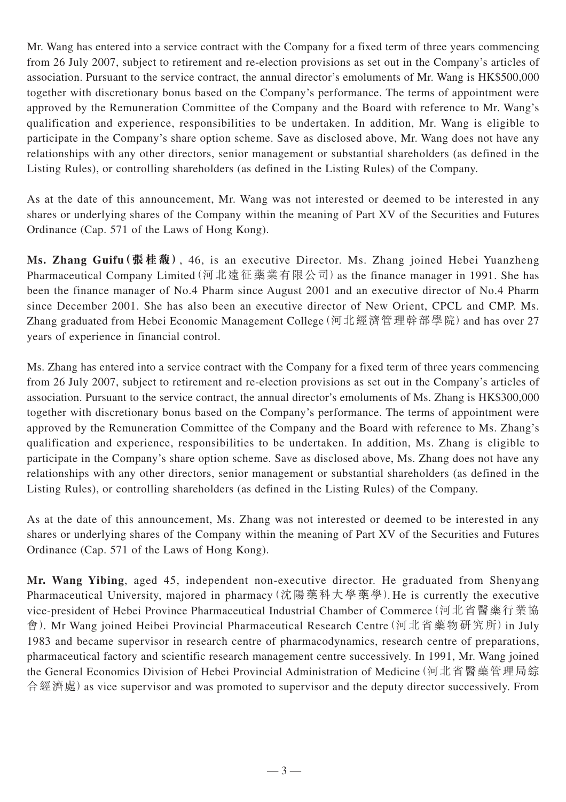Mr. Wang has entered into a service contract with the Company for a fixed term of three years commencing from 26 July 2007, subject to retirement and re-election provisions as set out in the Company's articles of association. Pursuant to the service contract, the annual director's emoluments of Mr. Wang is HK\$500,000 together with discretionary bonus based on the Company's performance. The terms of appointment were approved by the Remuneration Committee of the Company and the Board with reference to Mr. Wang's qualification and experience, responsibilities to be undertaken. In addition, Mr. Wang is eligible to participate in the Company's share option scheme. Save as disclosed above, Mr. Wang does not have any relationships with any other directors, senior management or substantial shareholders (as defined in the Listing Rules), or controlling shareholders (as defined in the Listing Rules) of the Company.

As at the date of this announcement, Mr. Wang was not interested or deemed to be interested in any shares or underlying shares of the Company within the meaning of Part XV of the Securities and Futures Ordinance (Cap. 571 of the Laws of Hong Kong).

**Ms. Zhang Guifu(張桂馥)**, 46, is an executive Director. Ms. Zhang joined Hebei Yuanzheng Pharmaceutical Company Limited (河北遠征藥業有限公司) as the finance manager in 1991. She has been the finance manager of No.4 Pharm since August 2001 and an executive director of No.4 Pharm since December 2001. She has also been an executive director of New Orient, CPCL and CMP. Ms. Zhang graduated from Hebei Economic Management College (河北經濟管理幹部學院) and has over 27 years of experience in financial control.

Ms. Zhang has entered into a service contract with the Company for a fixed term of three years commencing from 26 July 2007, subject to retirement and re-election provisions as set out in the Company's articles of association. Pursuant to the service contract, the annual director's emoluments of Ms. Zhang is HK\$300,000 together with discretionary bonus based on the Company's performance. The terms of appointment were approved by the Remuneration Committee of the Company and the Board with reference to Ms. Zhang's qualification and experience, responsibilities to be undertaken. In addition, Ms. Zhang is eligible to participate in the Company's share option scheme. Save as disclosed above, Ms. Zhang does not have any relationships with any other directors, senior management or substantial shareholders (as defined in the Listing Rules), or controlling shareholders (as defined in the Listing Rules) of the Company.

As at the date of this announcement, Ms. Zhang was not interested or deemed to be interested in any shares or underlying shares of the Company within the meaning of Part XV of the Securities and Futures Ordinance (Cap. 571 of the Laws of Hong Kong).

**Mr. Wang Yibing**, aged 45, independent non-executive director. He graduated from Shenyang Pharmaceutical University, majored in pharmacy (沈陽藥科大學藥學). He is currently the executive vice-president of Hebei Province Pharmaceutical Industrial Chamber of Commerce(河北省醫藥行業協 會). Mr Wang joined Heibei Provincial Pharmaceutical Research Centre (河北省藥物研究所) in July 1983 and became supervisor in research centre of pharmacodynamics, research centre of preparations, pharmaceutical factory and scientific research management centre successively. In 1991, Mr. Wang joined the General Economics Division of Hebei Provincial Administration of Medicine(河北省醫藥管理局綜 合經濟處)as vice supervisor and was promoted to supervisor and the deputy director successively. From